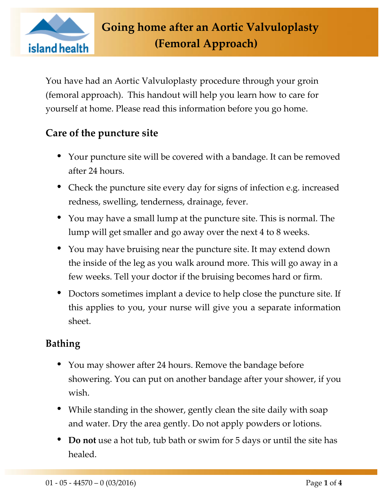

You have had an Aortic Valvuloplasty procedure through your groin (femoral approach). This handout will help you learn how to care for yourself at home. Please read this information before you go home.

## **Care of the puncture site**

- Your puncture site will be covered with a bandage. It can be removed after 24 hours.
- Check the puncture site every day for signs of infection e.g. increased redness, swelling, tenderness, drainage, fever.
- You may have a small lump at the puncture site. This is normal. The lump will get smaller and go away over the next 4 to 8 weeks.
- You may have bruising near the puncture site. It may extend down the inside of the leg as you walk around more. This will go away in a few weeks. Tell your doctor if the bruising becomes hard or firm.
- Doctors sometimes implant a device to help close the puncture site. If this applies to you, your nurse will give you a separate information sheet.

## **Bathing**

- You may shower after 24 hours. Remove the bandage before showering. You can put on another bandage after your shower, if you wish.
- While standing in the shower, gently clean the site daily with soap and water. Dry the area gently. Do not apply powders or lotions.
- **Do not** use a hot tub, tub bath or swim for 5 days or until the site has healed.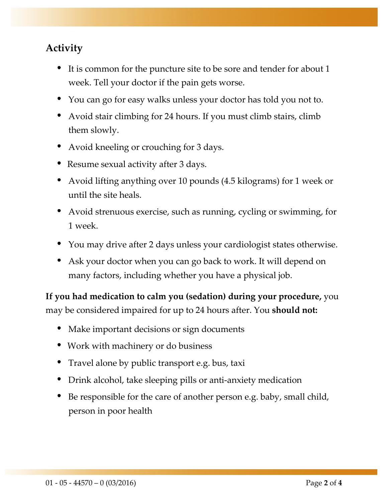## **Activity**

- It is common for the puncture site to be sore and tender for about 1 week. Tell your doctor if the pain gets worse.
- You can go for easy walks unless your doctor has told you not to.
- Avoid stair climbing for 24 hours. If you must climb stairs, climb them slowly.
- Avoid kneeling or crouching for 3 days.
- Resume sexual activity after 3 days.
- Avoid lifting anything over 10 pounds (4.5 kilograms) for 1 week or until the site heals.
- Avoid strenuous exercise, such as running, cycling or swimming, for 1 week.
- You may drive after 2 days unless your cardiologist states otherwise.
- Ask your doctor when you can go back to work. It will depend on many factors, including whether you have a physical job.

**If you had medication to calm you (sedation) during your procedure,** you may be considered impaired for up to 24 hours after. You **should not:**

- Make important decisions or sign documents
- Work with machinery or do business
- Travel alone by public transport e.g. bus, taxi
- Drink alcohol, take sleeping pills or anti-anxiety medication
- Be responsible for the care of another person e.g. baby, small child, person in poor health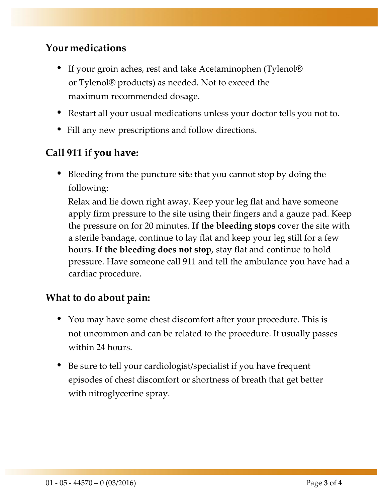#### **Your medications**

- If your groin aches, rest and take Acetaminophen (Tylenol® or Tylenol® products) as needed. Not to exceed the maximum recommended dosage.
- Restart all your usual medications unless your doctor tells you not to.
- Fill any new prescriptions and follow directions.

#### **Call 911 if you have:**

 Bleeding from the puncture site that you cannot stop by doing the following:

 Relax and lie down right away. Keep your leg flat and have someone apply firm pressure to the site using their fingers and a gauze pad. Keep the pressure on for 20 minutes. **If the bleeding stops** cover the site with a sterile bandage, continue to lay flat and keep your leg still for a few hours. **If the bleeding does not stop**, stay flat and continue to hold pressure. Have someone call 911 and tell the ambulance you have had a cardiac procedure.

#### **What to do about pain:**

- You may have some chest discomfort after your procedure. This is not uncommon and can be related to the procedure. It usually passes within 24 hours.
- Be sure to tell your cardiologist/specialist if you have frequent episodes of chest discomfort or shortness of breath that get better with nitroglycerine spray.